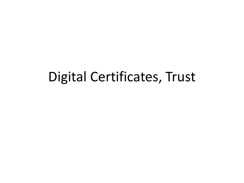### Digital Certificates, Trust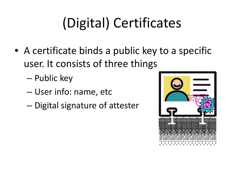# (Digital) Certificates

- A certificate binds a public key to a specific user. It consists of three things
	- Public key
	- User info: name, etc
	- Digital signature of attester

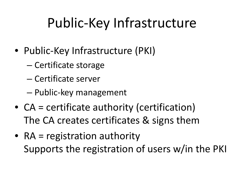## Public-Key Infrastructure

- Public-Key Infrastructure (PKI)
	- Certificate storage
	- Certificate server
	- Public-key management
- CA = certificate authority (certification) The CA creates certificates & signs them
- RA = registration authority Supports the registration of users w/in the PKI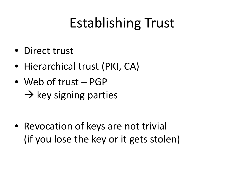### Establishing Trust

- Direct trust
- Hierarchical trust (PKI, CA)
- Web of trust PGP  $\rightarrow$  key signing parties

• Revocation of keys are not trivial (if you lose the key or it gets stolen)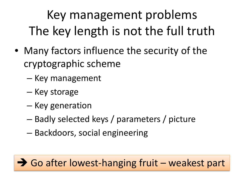## Key management problems The key length is not the full truth

- Many factors influence the security of the cryptographic scheme
	- Key management
	- Key storage
	- Key generation
	- Badly selected keys / parameters / picture
	- Backdoors, social engineering

#### $\rightarrow$  Go after lowest-hanging fruit – weakest part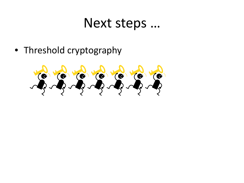#### Next steps …

• Threshold cryptography

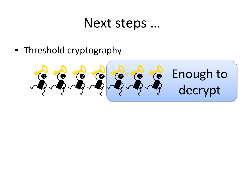#### Next steps …

• Threshold cryptography

Enough to  $\left| \begin{array}{c} \bullet \\ \bullet \end{array} \right|$  $\overline{C}$  $\left( 0 \right)$  $\left( 0 \right)$  $\left( \bullet^{\mathbb{Z}}\right)$  $\overline{O}$  $\bullet$ decrypt